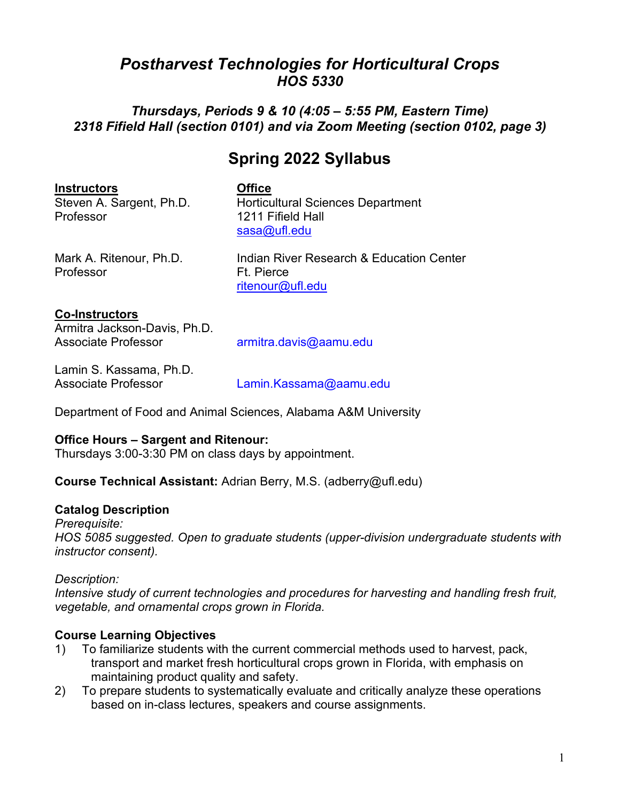# *Postharvest Technologies for Horticultural Crops HOS 5330*

# *Thursdays, Periods 9 & 10 (4:05 – 5:55 PM, Eastern Time) 2318 Fifield Hall (section 0101) and via Zoom Meeting (section 0102, page 3)*

# **Spring 2022 Syllabus**

**Instructors**<br> **Steven A. Sargent, Ph.D.** Horticu Professor 1211 Fifield Hall

Horticultural Sciences Department [sasa@ufl.edu](mailto:sasa@ufl.edu)

Professor **Ft. Pierce** 

Mark A. Ritenour, Ph.D. Indian River Research & Education Center [ritenour@ufl.edu](mailto:ritenour@ufl.edu)

#### **Co-Instructors**

| Armitra Jackson-Davis, Ph.D. |                        |
|------------------------------|------------------------|
| <b>Associate Professor</b>   | armitra.davis@aamu.edu |

Lamin S. Kassama, Ph.D.

[Lamin.Kassama@aamu.edu](mailto:Lamin.Kassama@aamu.edu)

Department of Food and Animal Sciences, Alabama A&M University

### **Office Hours – Sargent and Ritenour:**

Thursdays 3:00-3:30 PM on class days by appointment.

**Course Technical Assistant:** Adrian Berry, M.S. (adberry@ufl.edu)

### **Catalog Description**

*Prerequisite: HOS 5085 suggested. Open to graduate students (upper-division undergraduate students with instructor consent).* 

### *Description:*

*Intensive study of current technologies and procedures for harvesting and handling fresh fruit, vegetable, and ornamental crops grown in Florida.* 

# **Course Learning Objectives**

- 1) To familiarize students with the current commercial methods used to harvest, pack, transport and market fresh horticultural crops grown in Florida, with emphasis on maintaining product quality and safety.
- 2) To prepare students to systematically evaluate and critically analyze these operations based on in-class lectures, speakers and course assignments.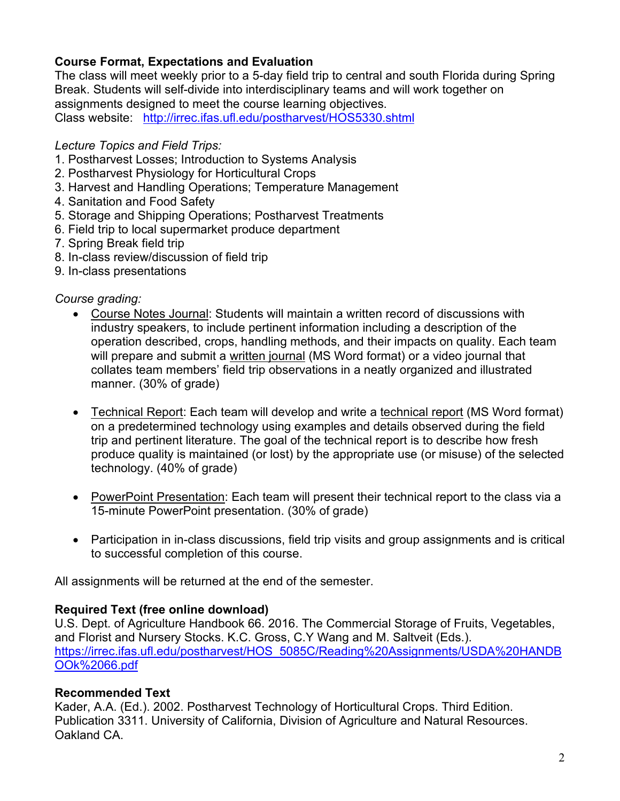# **Course Format, Expectations and Evaluation**

The class will meet weekly prior to a 5-day field trip to central and south Florida during Spring Break. Students will self-divide into interdisciplinary teams and will work together on assignments designed to meet the course learning objectives. Class website: <http://irrec.ifas.ufl.edu/postharvest/HOS5330.shtml>

### *Lecture Topics and Field Trips:*

- 1. Postharvest Losses; Introduction to Systems Analysis
- 2. Postharvest Physiology for Horticultural Crops
- 3. Harvest and Handling Operations; Temperature Management
- 4. Sanitation and Food Safety
- 5. Storage and Shipping Operations; Postharvest Treatments
- 6. Field trip to local supermarket produce department
- 7. Spring Break field trip
- 8. In-class review/discussion of field trip
- 9. In-class presentations

### *Course grading:*

- Course Notes Journal: Students will maintain a written record of discussions with industry speakers, to include pertinent information including a description of the operation described, crops, handling methods, and their impacts on quality. Each team will prepare and submit a written journal (MS Word format) or a video journal that collates team members' field trip observations in a neatly organized and illustrated manner. (30% of grade)
- Technical Report: Each team will develop and write a technical report (MS Word format) on a predetermined technology using examples and details observed during the field trip and pertinent literature. The goal of the technical report is to describe how fresh produce quality is maintained (or lost) by the appropriate use (or misuse) of the selected technology. (40% of grade)
- PowerPoint Presentation: Each team will present their technical report to the class via a 15-minute PowerPoint presentation. (30% of grade)
- Participation in in-class discussions, field trip visits and group assignments and is critical to successful completion of this course.

All assignments will be returned at the end of the semester.

### **Required Text (free online download)**

U.S. Dept. of Agriculture Handbook 66. 2016. The Commercial Storage of Fruits, Vegetables, and Florist and Nursery Stocks. K.C. Gross, C.Y Wang and M. Saltveit (Eds.). [https://irrec.ifas.ufl.edu/postharvest/HOS\\_5085C/Reading%20Assignments/USDA%20HANDB](https://irrec.ifas.ufl.edu/postharvest/HOS_5085C/Reading%20Assignments/USDA%20HANDBOOk%2066.pdf) [OOk%2066.pdf](https://irrec.ifas.ufl.edu/postharvest/HOS_5085C/Reading%20Assignments/USDA%20HANDBOOk%2066.pdf)

# **Recommended Text**

Kader, A.A. (Ed.). 2002. Postharvest Technology of Horticultural Crops. Third Edition. Publication 3311. University of California, Division of Agriculture and Natural Resources. Oakland CA.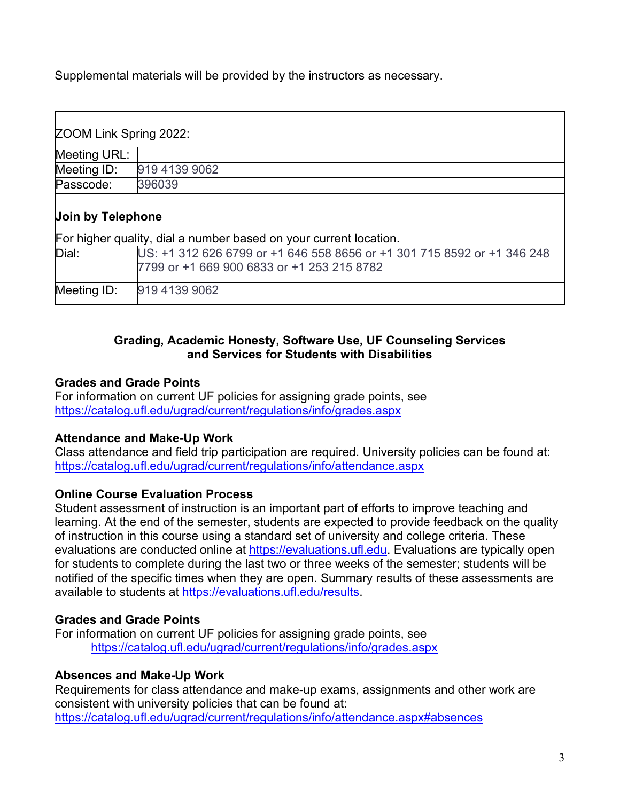Supplemental materials will be provided by the instructors as necessary.

| ZOOM Link Spring 2022:                                            |                                                                                                                       |
|-------------------------------------------------------------------|-----------------------------------------------------------------------------------------------------------------------|
| Meeting URL:                                                      |                                                                                                                       |
| Meeting ID:                                                       | 919 4139 9062                                                                                                         |
| Passcode:                                                         | 396039                                                                                                                |
| Join by Telephone                                                 |                                                                                                                       |
| For higher quality, dial a number based on your current location. |                                                                                                                       |
| Dial:                                                             | US: +1 312 626 6799 or +1 646 558 8656 or +1 301 715 8592 or +1 346 248<br>7799 or +1 669 900 6833 or +1 253 215 8782 |
| Meeting ID:                                                       | 919 4139 9062                                                                                                         |

#### **Grading, Academic Honesty, Software Use, UF Counseling Services and Services for Students with Disabilities**

### **Grades and Grade Points**

For information on current UF policies for assigning grade points, see <https://catalog.ufl.edu/ugrad/current/regulations/info/grades.aspx>

### **Attendance and Make-Up Work**

Class attendance and field trip participation are required. University policies can be found at: <https://catalog.ufl.edu/ugrad/current/regulations/info/attendance.aspx>

### **Online Course Evaluation Process**

Student assessment of instruction is an important part of efforts to improve teaching and learning. At the end of the semester, students are expected to provide feedback on the quality of instruction in this course using a standard set of university and college criteria. These evaluations are conducted online at [https://evaluations.ufl.edu.](https://evaluations.ufl.edu/) Evaluations are typically open for students to complete during the last two or three weeks of the semester; students will be notified of the specific times when they are open. Summary results of these assessments are available to students at [https://evaluations.ufl.edu/results.](https://evaluations.ufl.edu/results)

# **Grades and Grade Points**

For information on current UF policies for assigning grade points, see <https://catalog.ufl.edu/ugrad/current/regulations/info/grades.aspx>

# **Absences and Make-Up Work**

Requirements for class attendance and make-up exams, assignments and other work are consistent with university policies that can be found at: <https://catalog.ufl.edu/ugrad/current/regulations/info/attendance.aspx#absences>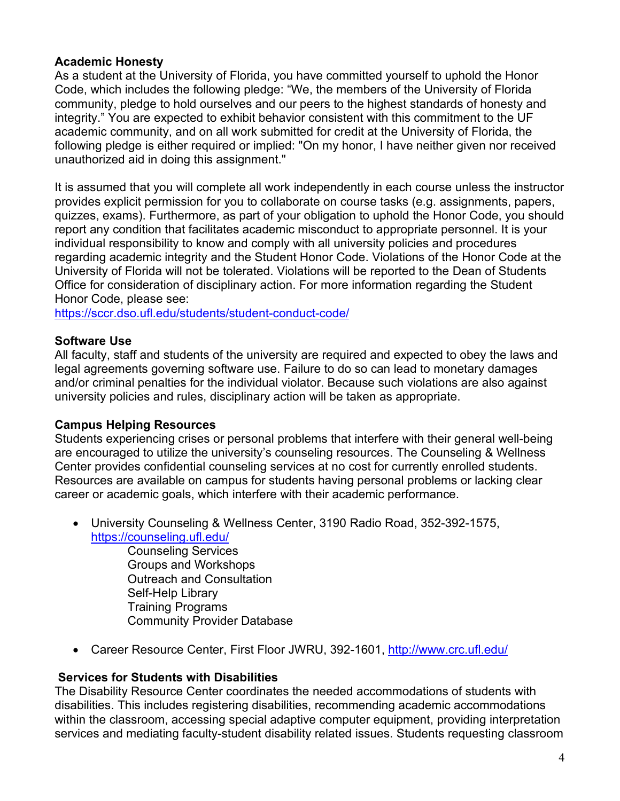### **Academic Honesty**

As a student at the University of Florida, you have committed yourself to uphold the Honor Code, which includes the following pledge: "We, the members of the University of Florida community, pledge to hold ourselves and our peers to the highest standards of honesty and integrity." You are expected to exhibit behavior consistent with this commitment to the UF academic community, and on all work submitted for credit at the University of Florida, the following pledge is either required or implied: "On my honor, I have neither given nor received unauthorized aid in doing this assignment."

It is assumed that you will complete all work independently in each course unless the instructor provides explicit permission for you to collaborate on course tasks (e.g. assignments, papers, quizzes, exams). Furthermore, as part of your obligation to uphold the Honor Code, you should report any condition that facilitates academic misconduct to appropriate personnel. It is your individual responsibility to know and comply with all university policies and procedures regarding academic integrity and the Student Honor Code. Violations of the Honor Code at the University of Florida will not be tolerated. Violations will be reported to the Dean of Students Office for consideration of disciplinary action. For more information regarding the Student Honor Code, please see:

<https://sccr.dso.ufl.edu/students/student-conduct-code/>

### **Software Use**

All faculty, staff and students of the university are required and expected to obey the laws and legal agreements governing software use. Failure to do so can lead to monetary damages and/or criminal penalties for the individual violator. Because such violations are also against university policies and rules, disciplinary action will be taken as appropriate.

### **Campus Helping Resources**

Students experiencing crises or personal problems that interfere with their general well-being are encouraged to utilize the university's counseling resources. The Counseling & Wellness Center provides confidential counseling services at no cost for currently enrolled students. Resources are available on campus for students having personal problems or lacking clear career or academic goals, which interfere with their academic performance.

• University Counseling & Wellness Center, 3190 Radio Road, 352-392-1575, <https://counseling.ufl.edu/>

Counseling Services Groups and Workshops Outreach and Consultation Self-Help Library Training Programs Community Provider Database

• Career Resource Center, First Floor JWRU, 392-1601,<http://www.crc.ufl.edu/>

### **Services for Students with Disabilities**

The Disability Resource Center coordinates the needed accommodations of students with disabilities. This includes registering disabilities, recommending academic accommodations within the classroom, accessing special adaptive computer equipment, providing interpretation services and mediating faculty-student disability related issues. Students requesting classroom